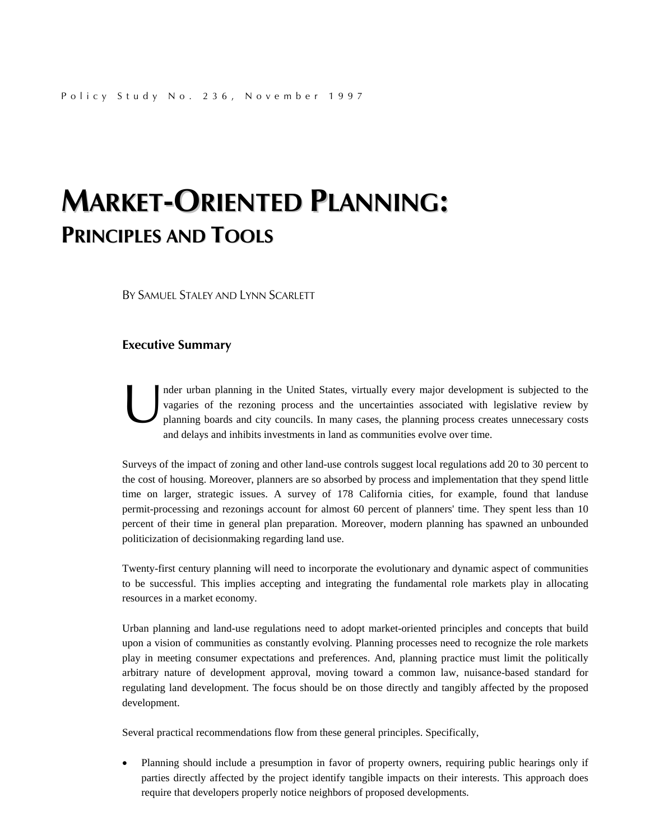## **MARKET-ORIENTED PLANNING: PRINCIPLES AND TOOLS**

BY SAMUEL STALEY AND LYNN SCARLETT

#### **Executive Summary**

nder urban planning in the United States, virtually every major development is subjected to the vagaries of the rezoning process and the uncertainties associated with legislative review by planning boards and city councils. In many cases, the planning process creates unnecessary costs and delays and inhibits investments in land as communities evolve over time. nde<br>
vag<br>
plan<br>
end

Surveys of the impact of zoning and other land-use controls suggest local regulations add 20 to 30 percent to the cost of housing. Moreover, planners are so absorbed by process and implementation that they spend little time on larger, strategic issues. A survey of 178 California cities, for example, found that landuse permit-processing and rezonings account for almost 60 percent of planners' time. They spent less than 10 percent of their time in general plan preparation. Moreover, modern planning has spawned an unbounded politicization of decisionmaking regarding land use.

Twenty-first century planning will need to incorporate the evolutionary and dynamic aspect of communities to be successful. This implies accepting and integrating the fundamental role markets play in allocating resources in a market economy.

Urban planning and land-use regulations need to adopt market-oriented principles and concepts that build upon a vision of communities as constantly evolving. Planning processes need to recognize the role markets play in meeting consumer expectations and preferences. And, planning practice must limit the politically arbitrary nature of development approval, moving toward a common law, nuisance-based standard for regulating land development. The focus should be on those directly and tangibly affected by the proposed development.

Several practical recommendations flow from these general principles. Specifically,

• Planning should include a presumption in favor of property owners, requiring public hearings only if parties directly affected by the project identify tangible impacts on their interests. This approach does require that developers properly notice neighbors of proposed developments.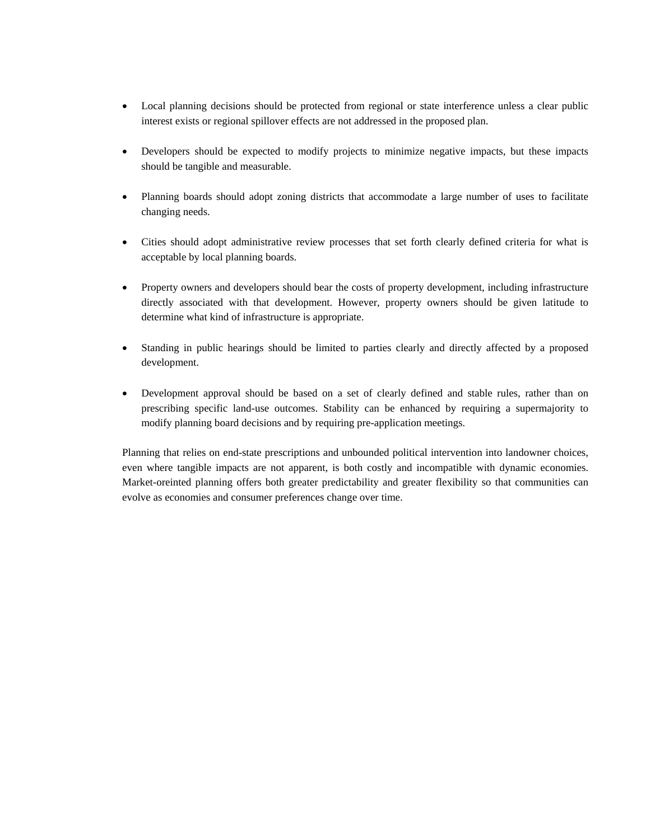- Local planning decisions should be protected from regional or state interference unless a clear public interest exists or regional spillover effects are not addressed in the proposed plan.
- Developers should be expected to modify projects to minimize negative impacts, but these impacts should be tangible and measurable.
- Planning boards should adopt zoning districts that accommodate a large number of uses to facilitate changing needs.
- Cities should adopt administrative review processes that set forth clearly defined criteria for what is acceptable by local planning boards.
- Property owners and developers should bear the costs of property development, including infrastructure directly associated with that development. However, property owners should be given latitude to determine what kind of infrastructure is appropriate.
- Standing in public hearings should be limited to parties clearly and directly affected by a proposed development.
- Development approval should be based on a set of clearly defined and stable rules, rather than on prescribing specific land-use outcomes. Stability can be enhanced by requiring a supermajority to modify planning board decisions and by requiring pre-application meetings.

Planning that relies on end-state prescriptions and unbounded political intervention into landowner choices, even where tangible impacts are not apparent, is both costly and incompatible with dynamic economies. Market-oreinted planning offers both greater predictability and greater flexibility so that communities can evolve as economies and consumer preferences change over time.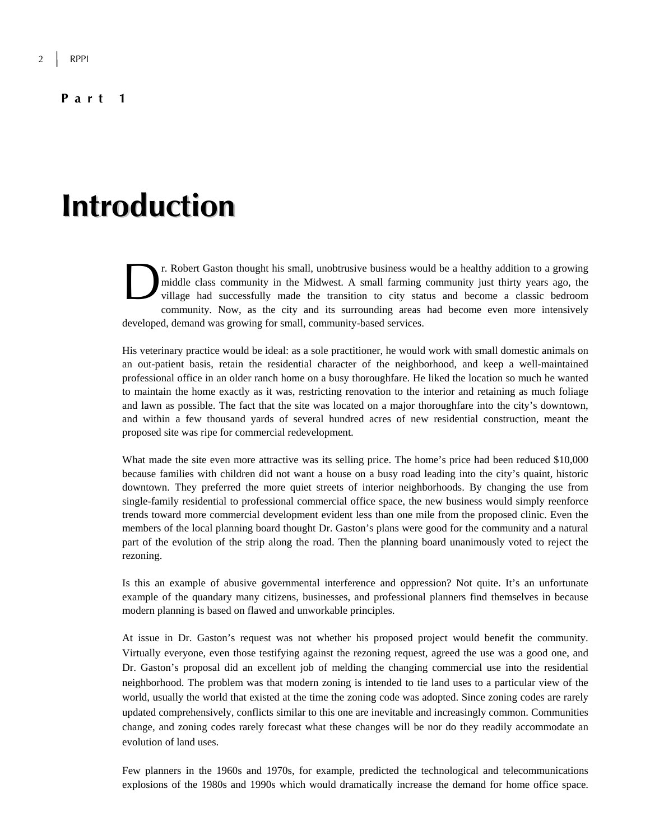#### **Part 1**

## **Introduction**

r. Robert Gaston thought his small, unobtrusive business would be a healthy addition to a growing middle class community in the Midwest. A small farming community just thirty years ago, the village had successfully made the transition to city status and become a classic bedroom community. Now, as the city and its surrounding areas had become even more intensively developed, demand was growing for small, community-based services.  $\sum_{\substack{\text{mid} \text{valid} \\ \text{will}}}$ 

His veterinary practice would be ideal: as a sole practitioner, he would work with small domestic animals on an out-patient basis, retain the residential character of the neighborhood, and keep a well-maintained professional office in an older ranch home on a busy thoroughfare. He liked the location so much he wanted to maintain the home exactly as it was, restricting renovation to the interior and retaining as much foliage and lawn as possible. The fact that the site was located on a major thoroughfare into the city's downtown, and within a few thousand yards of several hundred acres of new residential construction, meant the proposed site was ripe for commercial redevelopment.

What made the site even more attractive was its selling price. The home's price had been reduced \$10,000 because families with children did not want a house on a busy road leading into the city's quaint, historic downtown. They preferred the more quiet streets of interior neighborhoods. By changing the use from single-family residential to professional commercial office space, the new business would simply reenforce trends toward more commercial development evident less than one mile from the proposed clinic. Even the members of the local planning board thought Dr. Gaston's plans were good for the community and a natural part of the evolution of the strip along the road. Then the planning board unanimously voted to reject the rezoning.

Is this an example of abusive governmental interference and oppression? Not quite. It's an unfortunate example of the quandary many citizens, businesses, and professional planners find themselves in because modern planning is based on flawed and unworkable principles.

At issue in Dr. Gaston's request was not whether his proposed project would benefit the community. Virtually everyone, even those testifying against the rezoning request, agreed the use was a good one, and Dr. Gaston's proposal did an excellent job of melding the changing commercial use into the residential neighborhood. The problem was that modern zoning is intended to tie land uses to a particular view of the world, usually the world that existed at the time the zoning code was adopted. Since zoning codes are rarely updated comprehensively, conflicts similar to this one are inevitable and increasingly common. Communities change, and zoning codes rarely forecast what these changes will be nor do they readily accommodate an evolution of land uses.

Few planners in the 1960s and 1970s, for example, predicted the technological and telecommunications explosions of the 1980s and 1990s which would dramatically increase the demand for home office space.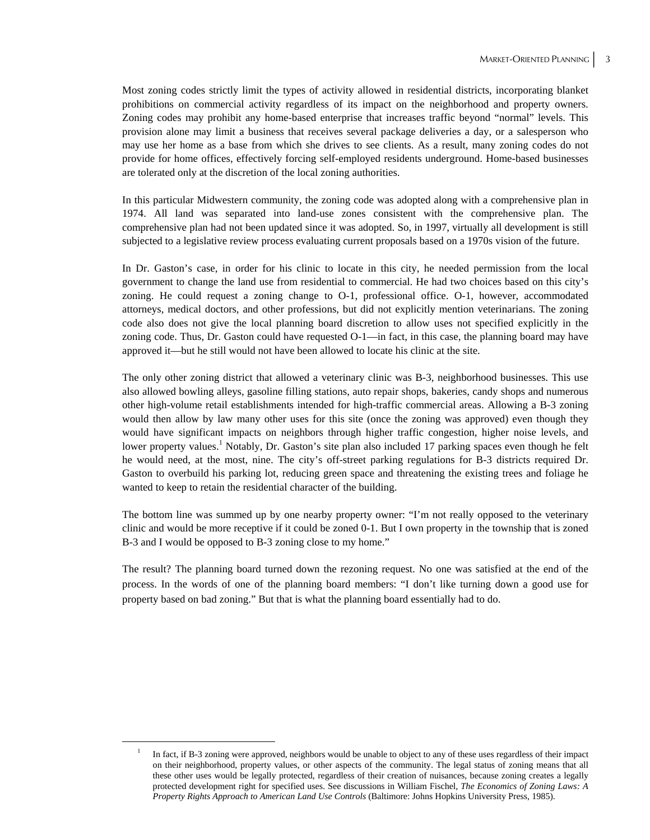Most zoning codes strictly limit the types of activity allowed in residential districts, incorporating blanket prohibitions on commercial activity regardless of its impact on the neighborhood and property owners. Zoning codes may prohibit any home-based enterprise that increases traffic beyond "normal" levels. This provision alone may limit a business that receives several package deliveries a day, or a salesperson who may use her home as a base from which she drives to see clients. As a result, many zoning codes do not provide for home offices, effectively forcing self-employed residents underground. Home-based businesses are tolerated only at the discretion of the local zoning authorities.

In this particular Midwestern community, the zoning code was adopted along with a comprehensive plan in 1974. All land was separated into land-use zones consistent with the comprehensive plan. The comprehensive plan had not been updated since it was adopted. So, in 1997, virtually all development is still subjected to a legislative review process evaluating current proposals based on a 1970s vision of the future.

In Dr. Gaston's case, in order for his clinic to locate in this city, he needed permission from the local government to change the land use from residential to commercial. He had two choices based on this city's zoning. He could request a zoning change to O-1, professional office. O-1, however, accommodated attorneys, medical doctors, and other professions, but did not explicitly mention veterinarians. The zoning code also does not give the local planning board discretion to allow uses not specified explicitly in the zoning code. Thus, Dr. Gaston could have requested O-1—in fact, in this case, the planning board may have approved it—but he still would not have been allowed to locate his clinic at the site.

The only other zoning district that allowed a veterinary clinic was B-3, neighborhood businesses. This use also allowed bowling alleys, gasoline filling stations, auto repair shops, bakeries, candy shops and numerous other high-volume retail establishments intended for high-traffic commercial areas. Allowing a B-3 zoning would then allow by law many other uses for this site (once the zoning was approved) even though they would have significant impacts on neighbors through higher traffic congestion, higher noise levels, and lower property values.<sup>1</sup> Notably, Dr. Gaston's site plan also included 17 parking spaces even though he felt he would need, at the most, nine. The city's off-street parking regulations for B-3 districts required Dr. Gaston to overbuild his parking lot, reducing green space and threatening the existing trees and foliage he wanted to keep to retain the residential character of the building.

The bottom line was summed up by one nearby property owner: "I'm not really opposed to the veterinary clinic and would be more receptive if it could be zoned 0-1. But I own property in the township that is zoned B-3 and I would be opposed to B-3 zoning close to my home."

The result? The planning board turned down the rezoning request. No one was satisfied at the end of the process. In the words of one of the planning board members: "I don't like turning down a good use for property based on bad zoning." But that is what the planning board essentially had to do.

 $\overline{\phantom{0}}$  In fact, if B-3 zoning were approved, neighbors would be unable to object to any of these uses regardless of their impact on their neighborhood, property values, or other aspects of the community. The legal status of zoning means that all these other uses would be legally protected, regardless of their creation of nuisances, because zoning creates a legally protected development right for specified uses. See discussions in William Fischel, *The Economics of Zoning Laws: A Property Rights Approach to American Land Use Controls* (Baltimore: Johns Hopkins University Press, 1985).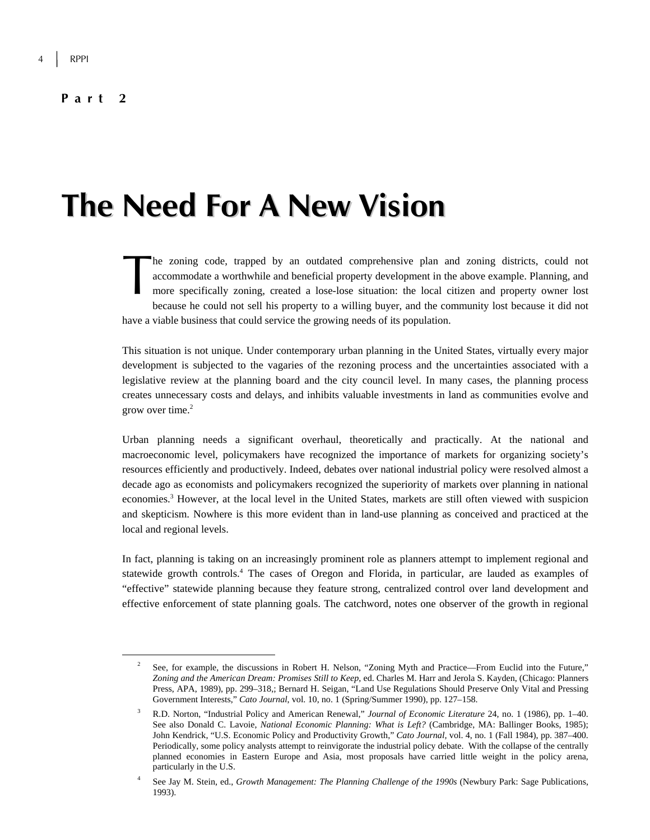#### **Part 2**

# **The Need For A New Vision**

he zoning code, trapped by an outdated comprehensive plan and zoning districts, could not accommodate a worthwhile and beneficial property development in the above example. Planning, and more specifically zoning, created a lose-lose situation: the local citizen and property owner lost because he could not sell his property to a willing buyer, and the community lost because it did not have a viable business that could service the growing needs of its population. The according the monography

This situation is not unique. Under contemporary urban planning in the United States, virtually every major development is subjected to the vagaries of the rezoning process and the uncertainties associated with a legislative review at the planning board and the city council level. In many cases, the planning process creates unnecessary costs and delays, and inhibits valuable investments in land as communities evolve and grow over time. $2$ 

Urban planning needs a significant overhaul, theoretically and practically. At the national and macroeconomic level, policymakers have recognized the importance of markets for organizing society's resources efficiently and productively. Indeed, debates over national industrial policy were resolved almost a decade ago as economists and policymakers recognized the superiority of markets over planning in national economies.<sup>3</sup> However, at the local level in the United States, markets are still often viewed with suspicion and skepticism. Nowhere is this more evident than in land-use planning as conceived and practiced at the local and regional levels.

In fact, planning is taking on an increasingly prominent role as planners attempt to implement regional and statewide growth controls.<sup>4</sup> The cases of Oregon and Florida, in particular, are lauded as examples of "effective" statewide planning because they feature strong, centralized control over land development and effective enforcement of state planning goals. The catchword, notes one observer of the growth in regional

 <sup>2</sup> See, for example, the discussions in Robert H. Nelson, "Zoning Myth and Practice—From Euclid into the Future," *Zoning and the American Dream: Promises Still to Keep*, ed. Charles M. Harr and Jerola S. Kayden, (Chicago: Planners Press, APA, 1989), pp. 299–318,; Bernard H. Seigan, "Land Use Regulations Should Preserve Only Vital and Pressing Government Interests," *Cato Journal*, vol. 10, no. 1 (Spring/Summer 1990), pp. 127–158.

<sup>3</sup> R.D. Norton, "Industrial Policy and American Renewal," *Journal of Economic Literature* 24, no. 1 (1986), pp. 1–40. See also Donald C. Lavoie, *National Economic Planning: What is Left?* (Cambridge, MA: Ballinger Books, 1985); John Kendrick, "U.S. Economic Policy and Productivity Growth," *Cato Journal,* vol. 4, no. 1 (Fall 1984), pp. 387–400. Periodically, some policy analysts attempt to reinvigorate the industrial policy debate. With the collapse of the centrally planned economies in Eastern Europe and Asia, most proposals have carried little weight in the policy arena, particularly in the U.S.

<sup>4</sup> See Jay M. Stein, ed., *Growth Management: The Planning Challenge of the 1990s* (Newbury Park: Sage Publications, 1993).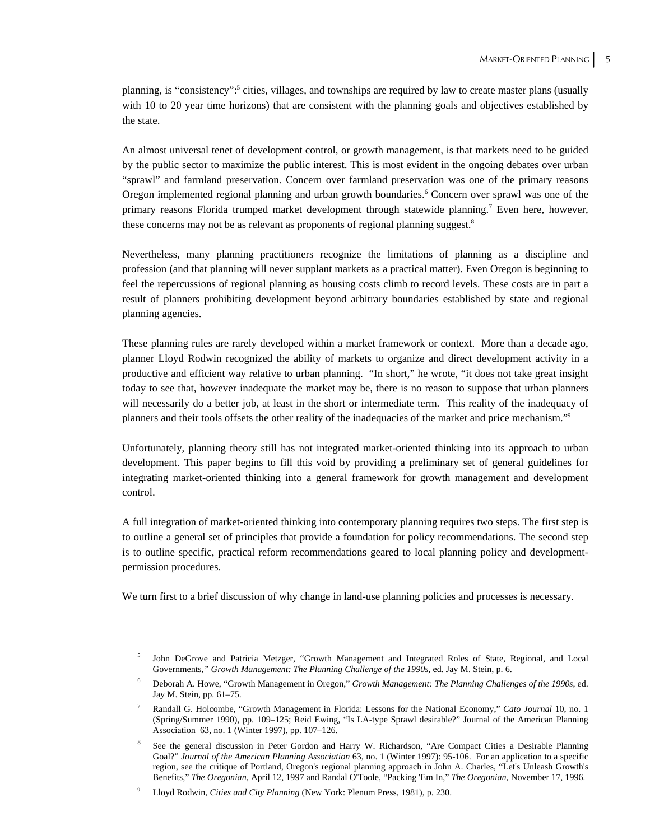planning, is "consistency":<sup>5</sup> cities, villages, and townships are required by law to create master plans (usually with 10 to 20 year time horizons) that are consistent with the planning goals and objectives established by the state.

An almost universal tenet of development control, or growth management, is that markets need to be guided by the public sector to maximize the public interest. This is most evident in the ongoing debates over urban "sprawl" and farmland preservation. Concern over farmland preservation was one of the primary reasons Oregon implemented regional planning and urban growth boundaries.<sup>6</sup> Concern over sprawl was one of the primary reasons Florida trumped market development through statewide planning.<sup>7</sup> Even here, however, these concerns may not be as relevant as proponents of regional planning suggest.<sup>8</sup>

Nevertheless, many planning practitioners recognize the limitations of planning as a discipline and profession (and that planning will never supplant markets as a practical matter). Even Oregon is beginning to feel the repercussions of regional planning as housing costs climb to record levels. These costs are in part a result of planners prohibiting development beyond arbitrary boundaries established by state and regional planning agencies.

These planning rules are rarely developed within a market framework or context. More than a decade ago, planner Lloyd Rodwin recognized the ability of markets to organize and direct development activity in a productive and efficient way relative to urban planning. "In short," he wrote, "it does not take great insight today to see that, however inadequate the market may be, there is no reason to suppose that urban planners will necessarily do a better job, at least in the short or intermediate term. This reality of the inadequacy of planners and their tools offsets the other reality of the inadequacies of the market and price mechanism."9

Unfortunately, planning theory still has not integrated market-oriented thinking into its approach to urban development. This paper begins to fill this void by providing a preliminary set of general guidelines for integrating market-oriented thinking into a general framework for growth management and development control.

A full integration of market-oriented thinking into contemporary planning requires two steps. The first step is to outline a general set of principles that provide a foundation for policy recommendations. The second step is to outline specific, practical reform recommendations geared to local planning policy and developmentpermission procedures.

We turn first to a brief discussion of why change in land-use planning policies and processes is necessary.

 $\frac{1}{5}$  John DeGrove and Patricia Metzger, "Growth Management and Integrated Roles of State, Regional, and Local Governments*," Growth Management: The Planning Challenge of the 1990s*, ed. Jay M. Stein, p. 6.

<sup>6</sup> Deborah A. Howe, "Growth Management in Oregon," *Growth Management: The Planning Challenges of the 1990s*, ed. Jay M. Stein, pp. 61–75.

<sup>7</sup> Randall G. Holcombe, "Growth Management in Florida: Lessons for the National Economy," *Cato Journal* 10, no. 1 (Spring/Summer 1990), pp. 109–125; Reid Ewing, "Is LA-type Sprawl desirable?" Journal of the American Planning Association 63, no. 1 (Winter 1997), pp. 107–126.

<sup>8</sup> See the general discussion in Peter Gordon and Harry W. Richardson, "Are Compact Cities a Desirable Planning Goal?" *Journal of the American Planning Association* 63, no. 1 (Winter 1997): 95-106. For an application to a specific region, see the critique of Portland, Oregon's regional planning approach in John A. Charles, "Let's Unleash Growth's Benefits," *The Oregonian*, April 12, 1997 and Randal O'Toole, "Packing 'Em In," *The Oregonian*, November 17, 1996.

<sup>9</sup> Lloyd Rodwin, *Cities and City Planning* (New York: Plenum Press, 1981), p. 230.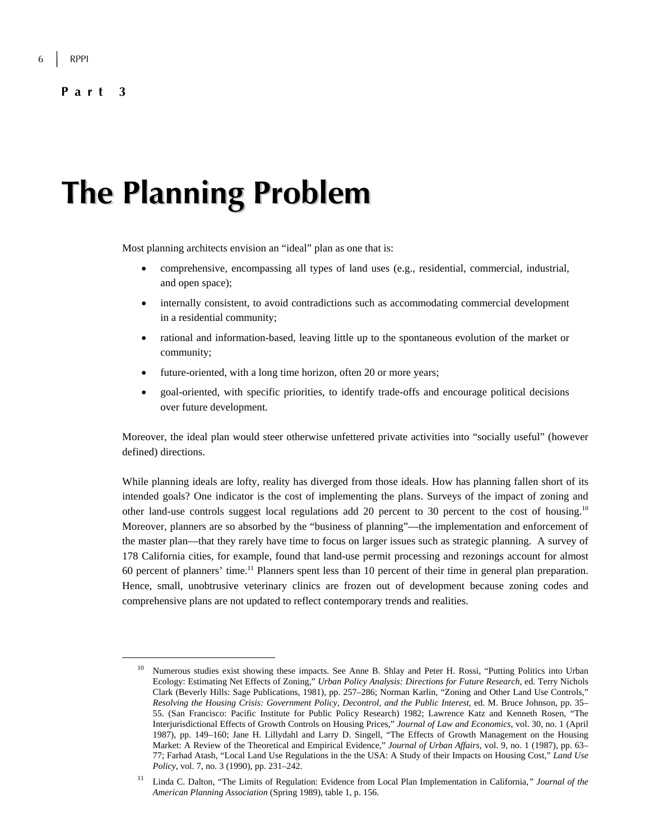# **The Planning Problem**

Most planning architects envision an "ideal" plan as one that is:

- comprehensive, encompassing all types of land uses (e.g., residential, commercial, industrial, and open space);
- internally consistent, to avoid contradictions such as accommodating commercial development in a residential community;
- rational and information-based, leaving little up to the spontaneous evolution of the market or community;
- future-oriented, with a long time horizon, often 20 or more years;
- goal-oriented, with specific priorities, to identify trade-offs and encourage political decisions over future development.

Moreover, the ideal plan would steer otherwise unfettered private activities into "socially useful" (however defined) directions.

While planning ideals are lofty, reality has diverged from those ideals. How has planning fallen short of its intended goals? One indicator is the cost of implementing the plans. Surveys of the impact of zoning and other land-use controls suggest local regulations add 20 percent to 30 percent to the cost of housing.10 Moreover, planners are so absorbed by the "business of planning"—the implementation and enforcement of the master plan—that they rarely have time to focus on larger issues such as strategic planning. A survey of 178 California cities, for example, found that land-use permit processing and rezonings account for almost 60 percent of planners' time.11 Planners spent less than 10 percent of their time in general plan preparation. Hence, small, unobtrusive veterinary clinics are frozen out of development because zoning codes and comprehensive plans are not updated to reflect contemporary trends and realities.

<sup>&</sup>lt;sup>10</sup> Numerous studies exist showing these impacts. See Anne B. Shlay and Peter H. Rossi, "Putting Politics into Urban Ecology: Estimating Net Effects of Zoning," *Urban Policy Analysis: Directions for Future Research*, ed. Terry Nichols Clark (Beverly Hills: Sage Publications, 1981), pp. 257–286; Norman Karlin, "Zoning and Other Land Use Controls," *Resolving the Housing Crisis: Government Policy, Decontrol, and the Public Interest*, ed. M. Bruce Johnson, pp. 35– 55. (San Francisco: Pacific Institute for Public Policy Research) 1982; Lawrence Katz and Kenneth Rosen, "The Interjurisdictional Effects of Growth Controls on Housing Prices," *Journal of Law and Economics*, vol. 30, no. 1 (April 1987), pp. 149–160; Jane H. Lillydahl and Larry D. Singell, "The Effects of Growth Management on the Housing Market: A Review of the Theoretical and Empirical Evidence," *Journal of Urban Affairs*, vol. 9, no. 1 (1987), pp. 63– 77; Farhad Atash, "Local Land Use Regulations in the the USA: A Study of their Impacts on Housing Cost," *Land Use Policy*, vol. 7, no. 3 (1990), pp. 231–242.

<sup>11</sup> Linda C. Dalton, "The Limits of Regulation: Evidence from Local Plan Implementation in California*," Journal of the American Planning Association* (Spring 1989), table 1, p. 156.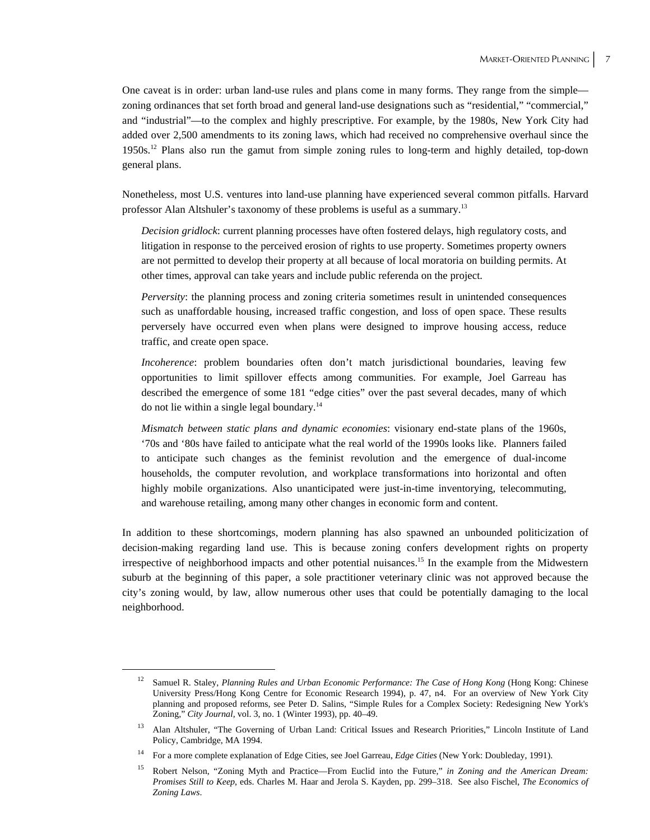One caveat is in order: urban land-use rules and plans come in many forms. They range from the simple zoning ordinances that set forth broad and general land-use designations such as "residential," "commercial," and "industrial"—to the complex and highly prescriptive. For example, by the 1980s, New York City had added over 2,500 amendments to its zoning laws, which had received no comprehensive overhaul since the 1950s.12 Plans also run the gamut from simple zoning rules to long-term and highly detailed, top-down general plans.

Nonetheless, most U.S. ventures into land-use planning have experienced several common pitfalls. Harvard professor Alan Altshuler's taxonomy of these problems is useful as a summary.13

*Decision gridlock*: current planning processes have often fostered delays, high regulatory costs, and litigation in response to the perceived erosion of rights to use property. Sometimes property owners are not permitted to develop their property at all because of local moratoria on building permits. At other times, approval can take years and include public referenda on the project.

*Perversity*: the planning process and zoning criteria sometimes result in unintended consequences such as unaffordable housing, increased traffic congestion, and loss of open space. These results perversely have occurred even when plans were designed to improve housing access, reduce traffic, and create open space.

*Incoherence*: problem boundaries often don't match jurisdictional boundaries, leaving few opportunities to limit spillover effects among communities. For example, Joel Garreau has described the emergence of some 181 "edge cities" over the past several decades, many of which do not lie within a single legal boundary.14

*Mismatch between static plans and dynamic economies*: visionary end-state plans of the 1960s, '70s and '80s have failed to anticipate what the real world of the 1990s looks like. Planners failed to anticipate such changes as the feminist revolution and the emergence of dual-income households, the computer revolution, and workplace transformations into horizontal and often highly mobile organizations. Also unanticipated were just-in-time inventorying, telecommuting, and warehouse retailing, among many other changes in economic form and content.

In addition to these shortcomings, modern planning has also spawned an unbounded politicization of decision-making regarding land use. This is because zoning confers development rights on property irrespective of neighborhood impacts and other potential nuisances.15 In the example from the Midwestern suburb at the beginning of this paper, a sole practitioner veterinary clinic was not approved because the city's zoning would, by law, allow numerous other uses that could be potentially damaging to the local neighborhood.

 <sup>12</sup> Samuel R. Staley, *Planning Rules and Urban Economic Performance: The Case of Hong Kong* (Hong Kong: Chinese University Press/Hong Kong Centre for Economic Research 1994), p. 47, n4. For an overview of New York City planning and proposed reforms, see Peter D. Salins, "Simple Rules for a Complex Society: Redesigning New York's Zoning," *City Journal,* vol. 3, no. 1 (Winter 1993), pp. 40–49.

<sup>&</sup>lt;sup>13</sup> Alan Altshuler, "The Governing of Urban Land: Critical Issues and Research Priorities," Lincoln Institute of Land Policy, Cambridge, MA 1994.

<sup>14</sup> For a more complete explanation of Edge Cities, see Joel Garreau, *Edge Cities* (New York: Doubleday, 1991).

<sup>15</sup> Robert Nelson, "Zoning Myth and Practice—From Euclid into the Future," *in Zoning and the American Dream: Promises Still to Keep*, eds. Charles M. Haar and Jerola S. Kayden, pp. 299–318. See also Fischel, *The Economics of Zoning Laws*.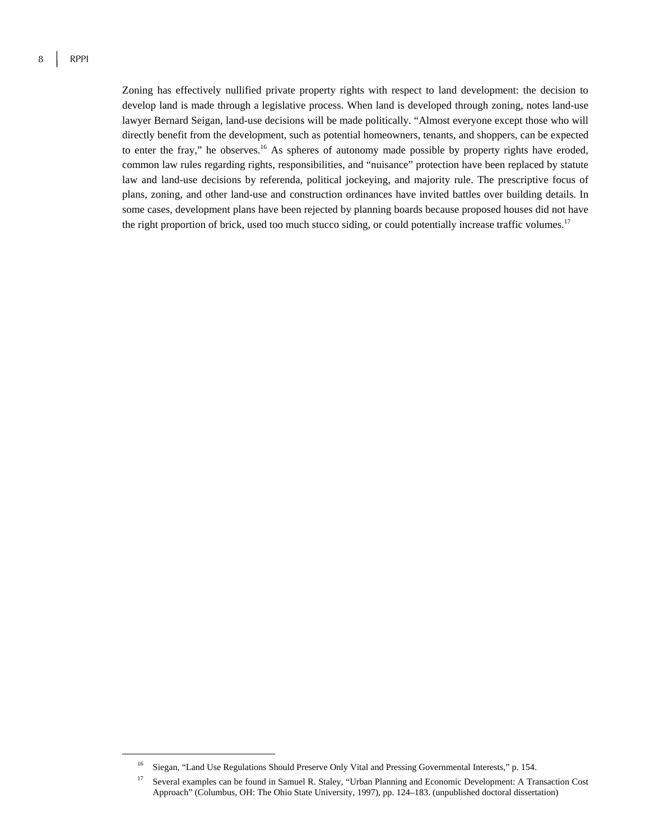Zoning has effectively nullified private property rights with respect to land development: the decision to develop land is made through a legislative process. When land is developed through zoning, notes land-use lawyer Bernard Seigan, land-use decisions will be made politically. "Almost everyone except those who will directly benefit from the development, such as potential homeowners, tenants, and shoppers, can be expected to enter the fray," he observes.16 As spheres of autonomy made possible by property rights have eroded, common law rules regarding rights, responsibilities, and "nuisance" protection have been replaced by statute law and land-use decisions by referenda, political jockeying, and majority rule. The prescriptive focus of plans, zoning, and other land-use and construction ordinances have invited battles over building details. In some cases, development plans have been rejected by planning boards because proposed houses did not have the right proportion of brick, used too much stucco siding, or could potentially increase traffic volumes.<sup>17</sup>

<sup>&</sup>lt;sup>16</sup> Siegan, "Land Use Regulations Should Preserve Only Vital and Pressing Governmental Interests," p. 154.

<sup>&</sup>lt;sup>17</sup> Several examples can be found in Samuel R. Staley, "Urban Planning and Economic Development: A Transaction Cost Approach" (Columbus, OH: The Ohio State University, 1997), pp. 124–183. (unpublished doctoral dissertation)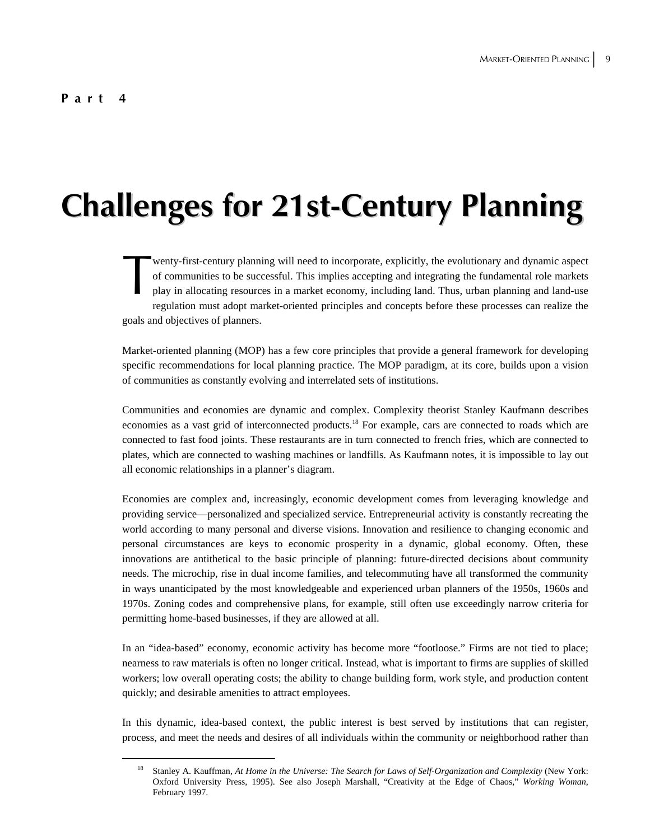# **Challenges for 21st-Century Planning**

wenty-first-century planning will need to incorporate, explicitly, the evolutionary and dynamic aspect of communities to be successful. This implies accepting and integrating the fundamental role markets play in allocating resources in a market economy, including land. Thus, urban planning and land-use regulation must adopt market-oriented principles and concepts before these processes can realize the goals and objectives of planners. wer<br>of c<br>play

Market-oriented planning (MOP) has a few core principles that provide a general framework for developing specific recommendations for local planning practice. The MOP paradigm, at its core, builds upon a vision of communities as constantly evolving and interrelated sets of institutions.

Communities and economies are dynamic and complex. Complexity theorist Stanley Kaufmann describes economies as a vast grid of interconnected products.<sup>18</sup> For example, cars are connected to roads which are connected to fast food joints. These restaurants are in turn connected to french fries, which are connected to plates, which are connected to washing machines or landfills. As Kaufmann notes, it is impossible to lay out all economic relationships in a planner's diagram.

Economies are complex and, increasingly, economic development comes from leveraging knowledge and providing service—personalized and specialized service. Entrepreneurial activity is constantly recreating the world according to many personal and diverse visions. Innovation and resilience to changing economic and personal circumstances are keys to economic prosperity in a dynamic, global economy. Often, these innovations are antithetical to the basic principle of planning: future-directed decisions about community needs. The microchip, rise in dual income families, and telecommuting have all transformed the community in ways unanticipated by the most knowledgeable and experienced urban planners of the 1950s, 1960s and 1970s. Zoning codes and comprehensive plans, for example, still often use exceedingly narrow criteria for permitting home-based businesses, if they are allowed at all.

In an "idea-based" economy, economic activity has become more "footloose." Firms are not tied to place; nearness to raw materials is often no longer critical. Instead, what is important to firms are supplies of skilled workers; low overall operating costs; the ability to change building form, work style, and production content quickly; and desirable amenities to attract employees.

In this dynamic, idea-based context, the public interest is best served by institutions that can register, process, and meet the needs and desires of all individuals within the community or neighborhood rather than

 <sup>18</sup> Stanley A. Kauffman, *At Home in the Universe: The Search for Laws of Self-Organization and Complexity* (New York: Oxford University Press, 1995). See also Joseph Marshall, "Creativity at the Edge of Chaos," *Working Woman*, February 1997.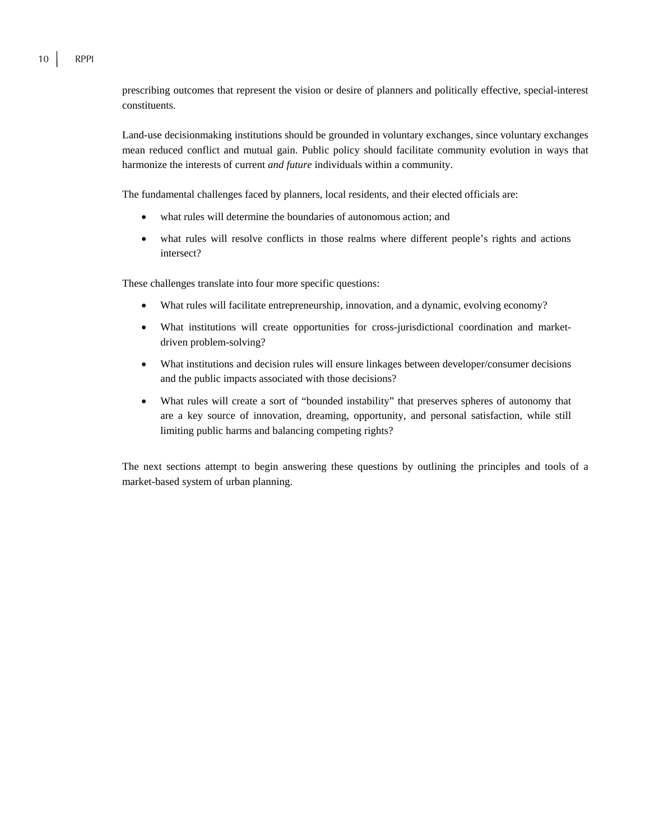prescribing outcomes that represent the vision or desire of planners and politically effective, special-interest constituents.

Land-use decisionmaking institutions should be grounded in voluntary exchanges, since voluntary exchanges mean reduced conflict and mutual gain. Public policy should facilitate community evolution in ways that harmonize the interests of current *and future* individuals within a community.

The fundamental challenges faced by planners, local residents, and their elected officials are:

- what rules will determine the boundaries of autonomous action; and
- what rules will resolve conflicts in those realms where different people's rights and actions intersect?

These challenges translate into four more specific questions:

- What rules will facilitate entrepreneurship, innovation, and a dynamic, evolving economy?
- What institutions will create opportunities for cross-jurisdictional coordination and marketdriven problem-solving?
- What institutions and decision rules will ensure linkages between developer/consumer decisions and the public impacts associated with those decisions?
- What rules will create a sort of "bounded instability" that preserves spheres of autonomy that are a key source of innovation, dreaming, opportunity, and personal satisfaction, while still limiting public harms and balancing competing rights?

The next sections attempt to begin answering these questions by outlining the principles and tools of a market-based system of urban planning.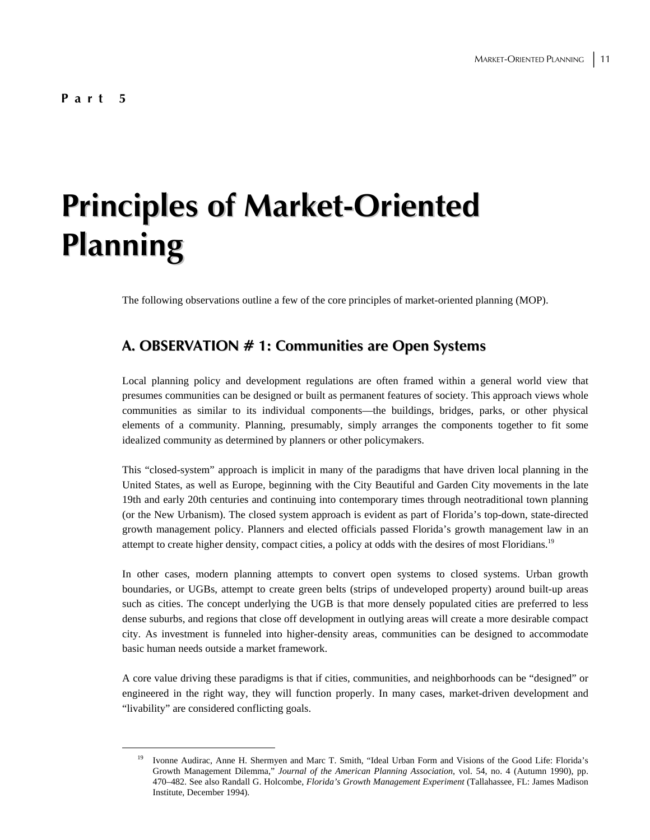# **Principles of Market-Oriented Planning**

The following observations outline a few of the core principles of market-oriented planning (MOP).

#### **A. OBSERVATION # 1: Communities are Open Systems**

Local planning policy and development regulations are often framed within a general world view that presumes communities can be designed or built as permanent features of society. This approach views whole communities as similar to its individual components—the buildings, bridges, parks, or other physical elements of a community. Planning, presumably, simply arranges the components together to fit some idealized community as determined by planners or other policymakers.

This "closed-system" approach is implicit in many of the paradigms that have driven local planning in the United States, as well as Europe, beginning with the City Beautiful and Garden City movements in the late 19th and early 20th centuries and continuing into contemporary times through neotraditional town planning (or the New Urbanism). The closed system approach is evident as part of Florida's top-down, state-directed growth management policy. Planners and elected officials passed Florida's growth management law in an attempt to create higher density, compact cities, a policy at odds with the desires of most Floridians.19

In other cases, modern planning attempts to convert open systems to closed systems. Urban growth boundaries, or UGBs, attempt to create green belts (strips of undeveloped property) around built-up areas such as cities. The concept underlying the UGB is that more densely populated cities are preferred to less dense suburbs, and regions that close off development in outlying areas will create a more desirable compact city. As investment is funneled into higher-density areas, communities can be designed to accommodate basic human needs outside a market framework.

A core value driving these paradigms is that if cities, communities, and neighborhoods can be "designed" or engineered in the right way, they will function properly. In many cases, market-driven development and "livability" are considered conflicting goals.

 <sup>19</sup> Ivonne Audirac, Anne H. Shermyen and Marc T. Smith, "Ideal Urban Form and Visions of the Good Life: Florida's Growth Management Dilemma," *Journal of the American Planning Association,* vol. 54, no. 4 (Autumn 1990), pp. 470–482. See also Randall G. Holcombe, *Florida's Growth Management Experiment* (Tallahassee, FL: James Madison Institute, December 1994).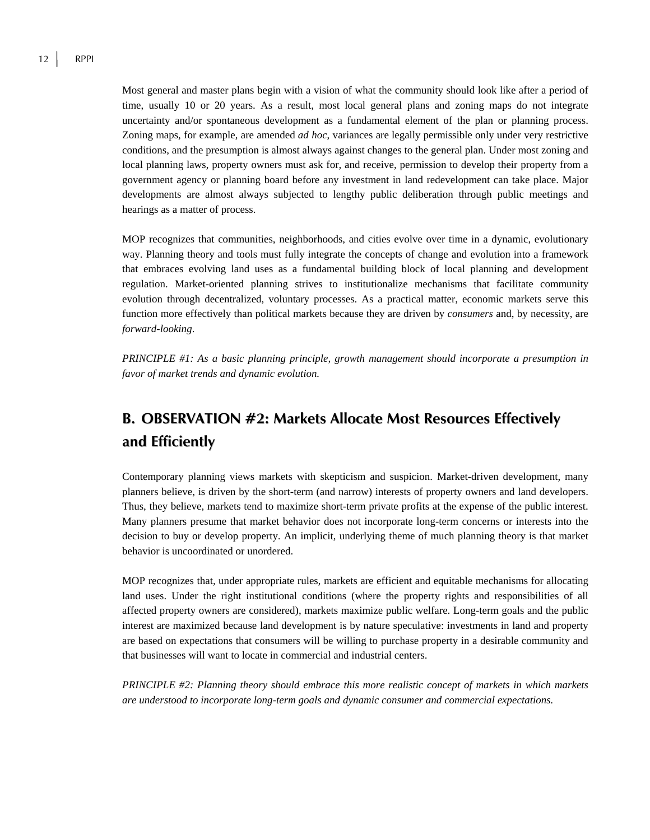Most general and master plans begin with a vision of what the community should look like after a period of time, usually 10 or 20 years. As a result, most local general plans and zoning maps do not integrate uncertainty and/or spontaneous development as a fundamental element of the plan or planning process. Zoning maps, for example, are amended *ad hoc*, variances are legally permissible only under very restrictive conditions, and the presumption is almost always against changes to the general plan. Under most zoning and local planning laws, property owners must ask for, and receive, permission to develop their property from a government agency or planning board before any investment in land redevelopment can take place. Major developments are almost always subjected to lengthy public deliberation through public meetings and hearings as a matter of process.

MOP recognizes that communities, neighborhoods, and cities evolve over time in a dynamic, evolutionary way. Planning theory and tools must fully integrate the concepts of change and evolution into a framework that embraces evolving land uses as a fundamental building block of local planning and development regulation. Market-oriented planning strives to institutionalize mechanisms that facilitate community evolution through decentralized, voluntary processes. As a practical matter, economic markets serve this function more effectively than political markets because they are driven by *consumers* and, by necessity, are *forward-looking*.

*PRINCIPLE #1: As a basic planning principle, growth management should incorporate a presumption in favor of market trends and dynamic evolution.*

### **B. OBSERVATION #2: Markets Allocate Most Resources Effectively and Efficiently**

Contemporary planning views markets with skepticism and suspicion. Market-driven development, many planners believe, is driven by the short-term (and narrow) interests of property owners and land developers. Thus, they believe, markets tend to maximize short-term private profits at the expense of the public interest. Many planners presume that market behavior does not incorporate long-term concerns or interests into the decision to buy or develop property. An implicit, underlying theme of much planning theory is that market behavior is uncoordinated or unordered.

MOP recognizes that, under appropriate rules, markets are efficient and equitable mechanisms for allocating land uses. Under the right institutional conditions (where the property rights and responsibilities of all affected property owners are considered), markets maximize public welfare. Long-term goals and the public interest are maximized because land development is by nature speculative: investments in land and property are based on expectations that consumers will be willing to purchase property in a desirable community and that businesses will want to locate in commercial and industrial centers.

*PRINCIPLE #2: Planning theory should embrace this more realistic concept of markets in which markets are understood to incorporate long-term goals and dynamic consumer and commercial expectations.*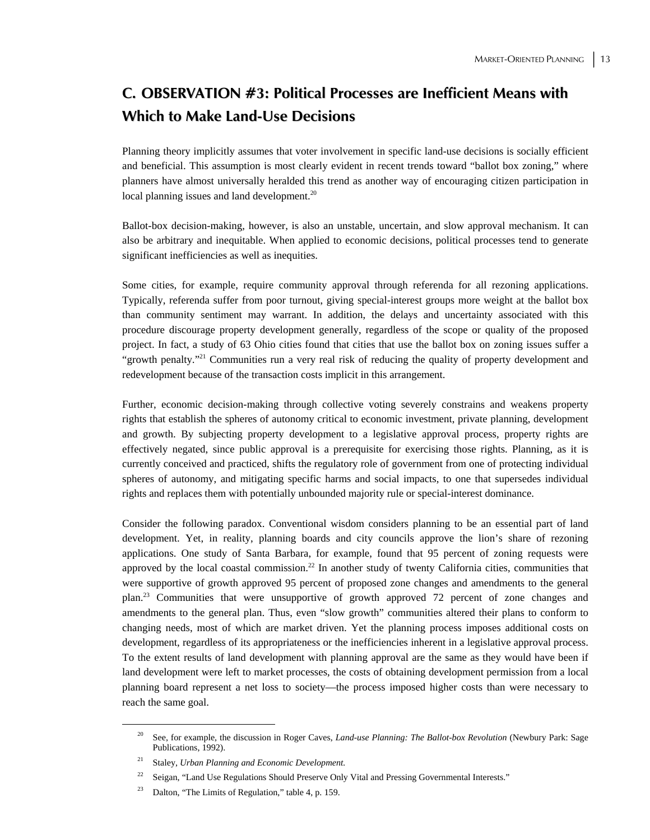### **C. OBSERVATION #3: Political Processes are Inefficient Means with Which to Make Land-Use Decisions**

Planning theory implicitly assumes that voter involvement in specific land-use decisions is socially efficient and beneficial. This assumption is most clearly evident in recent trends toward "ballot box zoning," where planners have almost universally heralded this trend as another way of encouraging citizen participation in local planning issues and land development.<sup>20</sup>

Ballot-box decision-making, however, is also an unstable, uncertain, and slow approval mechanism. It can also be arbitrary and inequitable. When applied to economic decisions, political processes tend to generate significant inefficiencies as well as inequities.

Some cities, for example, require community approval through referenda for all rezoning applications. Typically, referenda suffer from poor turnout, giving special-interest groups more weight at the ballot box than community sentiment may warrant. In addition, the delays and uncertainty associated with this procedure discourage property development generally, regardless of the scope or quality of the proposed project. In fact, a study of 63 Ohio cities found that cities that use the ballot box on zoning issues suffer a "growth penalty."<sup>21</sup> Communities run a very real risk of reducing the quality of property development and redevelopment because of the transaction costs implicit in this arrangement.

Further, economic decision-making through collective voting severely constrains and weakens property rights that establish the spheres of autonomy critical to economic investment, private planning, development and growth. By subjecting property development to a legislative approval process, property rights are effectively negated, since public approval is a prerequisite for exercising those rights. Planning, as it is currently conceived and practiced, shifts the regulatory role of government from one of protecting individual spheres of autonomy, and mitigating specific harms and social impacts, to one that supersedes individual rights and replaces them with potentially unbounded majority rule or special-interest dominance.

Consider the following paradox. Conventional wisdom considers planning to be an essential part of land development. Yet, in reality, planning boards and city councils approve the lion's share of rezoning applications. One study of Santa Barbara, for example, found that 95 percent of zoning requests were approved by the local coastal commission.<sup>22</sup> In another study of twenty California cities, communities that were supportive of growth approved 95 percent of proposed zone changes and amendments to the general plan.23 Communities that were unsupportive of growth approved 72 percent of zone changes and amendments to the general plan. Thus, even "slow growth" communities altered their plans to conform to changing needs, most of which are market driven. Yet the planning process imposes additional costs on development, regardless of its appropriateness or the inefficiencies inherent in a legislative approval process. To the extent results of land development with planning approval are the same as they would have been if land development were left to market processes, the costs of obtaining development permission from a local planning board represent a net loss to society—the process imposed higher costs than were necessary to reach the same goal.

 <sup>20</sup> See, for example, the discussion in Roger Caves, *Land-use Planning: The Ballot-box Revolution* (Newbury Park: Sage Publications, 1992).

<sup>21</sup> Staley, *Urban Planning and Economic Development.*

<sup>&</sup>lt;sup>22</sup> Seigan, "Land Use Regulations Should Preserve Only Vital and Pressing Governmental Interests."

<sup>&</sup>lt;sup>23</sup> Dalton, "The Limits of Regulation," table 4, p. 159.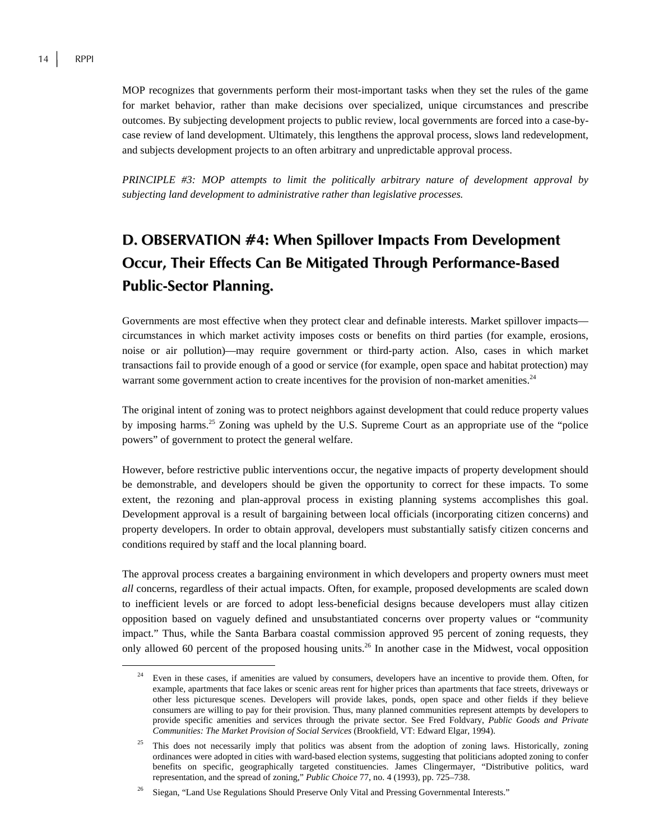MOP recognizes that governments perform their most-important tasks when they set the rules of the game for market behavior, rather than make decisions over specialized, unique circumstances and prescribe outcomes. By subjecting development projects to public review, local governments are forced into a case-bycase review of land development. Ultimately, this lengthens the approval process, slows land redevelopment, and subjects development projects to an often arbitrary and unpredictable approval process.

*PRINCIPLE #3: MOP attempts to limit the politically arbitrary nature of development approval by subjecting land development to administrative rather than legislative processes.* 

## **D. OBSERVATION #4: When Spillover Impacts From Development Occur, Their Effects Can Be Mitigated Through Performance-Based Public-Sector Planning.**

Governments are most effective when they protect clear and definable interests. Market spillover impacts circumstances in which market activity imposes costs or benefits on third parties (for example, erosions, noise or air pollution)—may require government or third-party action. Also, cases in which market transactions fail to provide enough of a good or service (for example, open space and habitat protection) may warrant some government action to create incentives for the provision of non-market amenities.<sup>24</sup>

The original intent of zoning was to protect neighbors against development that could reduce property values by imposing harms.<sup>25</sup> Zoning was upheld by the U.S. Supreme Court as an appropriate use of the "police powers" of government to protect the general welfare.

However, before restrictive public interventions occur, the negative impacts of property development should be demonstrable, and developers should be given the opportunity to correct for these impacts. To some extent, the rezoning and plan-approval process in existing planning systems accomplishes this goal. Development approval is a result of bargaining between local officials (incorporating citizen concerns) and property developers. In order to obtain approval, developers must substantially satisfy citizen concerns and conditions required by staff and the local planning board.

The approval process creates a bargaining environment in which developers and property owners must meet *all* concerns, regardless of their actual impacts. Often, for example, proposed developments are scaled down to inefficient levels or are forced to adopt less-beneficial designs because developers must allay citizen opposition based on vaguely defined and unsubstantiated concerns over property values or "community impact." Thus, while the Santa Barbara coastal commission approved 95 percent of zoning requests, they only allowed 60 percent of the proposed housing units.<sup>26</sup> In another case in the Midwest, vocal opposition

<sup>&</sup>lt;sup>24</sup> Even in these cases, if amenities are valued by consumers, developers have an incentive to provide them. Often, for example, apartments that face lakes or scenic areas rent for higher prices than apartments that face streets, driveways or other less picturesque scenes. Developers will provide lakes, ponds, open space and other fields if they believe consumers are willing to pay for their provision. Thus, many planned communities represent attempts by developers to provide specific amenities and services through the private sector. See Fred Foldvary, *Public Goods and Private Communities: The Market Provision of Social Services* (Brookfield, VT: Edward Elgar, 1994).

 $25$  This does not necessarily imply that politics was absent from the adoption of zoning laws. Historically, zoning ordinances were adopted in cities with ward-based election systems, suggesting that politicians adopted zoning to confer benefits on specific, geographically targeted constituencies. James Clingermayer, "Distributive politics, ward representation, and the spread of zoning," *Public Choice* 77, no. 4 (1993), pp. 725–738.

<sup>&</sup>lt;sup>26</sup> Siegan, "Land Use Regulations Should Preserve Only Vital and Pressing Governmental Interests."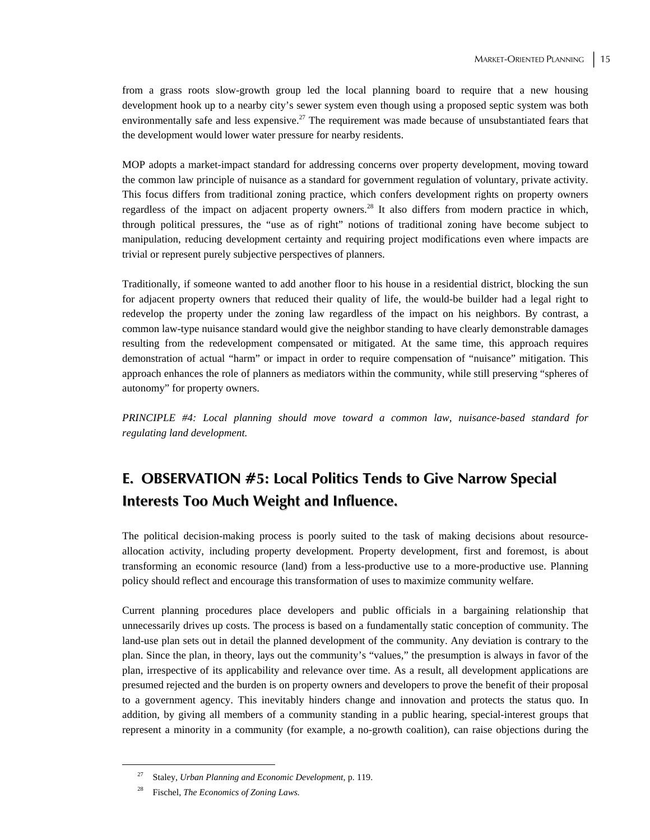from a grass roots slow-growth group led the local planning board to require that a new housing development hook up to a nearby city's sewer system even though using a proposed septic system was both environmentally safe and less expensive.<sup>27</sup> The requirement was made because of unsubstantiated fears that the development would lower water pressure for nearby residents.

MOP adopts a market-impact standard for addressing concerns over property development, moving toward the common law principle of nuisance as a standard for government regulation of voluntary, private activity. This focus differs from traditional zoning practice, which confers development rights on property owners regardless of the impact on adjacent property owners.28 It also differs from modern practice in which, through political pressures, the "use as of right" notions of traditional zoning have become subject to manipulation, reducing development certainty and requiring project modifications even where impacts are trivial or represent purely subjective perspectives of planners.

Traditionally, if someone wanted to add another floor to his house in a residential district, blocking the sun for adjacent property owners that reduced their quality of life, the would-be builder had a legal right to redevelop the property under the zoning law regardless of the impact on his neighbors. By contrast, a common law-type nuisance standard would give the neighbor standing to have clearly demonstrable damages resulting from the redevelopment compensated or mitigated. At the same time, this approach requires demonstration of actual "harm" or impact in order to require compensation of "nuisance" mitigation. This approach enhances the role of planners as mediators within the community, while still preserving "spheres of autonomy" for property owners.

*PRINCIPLE #4: Local planning should move toward a common law, nuisance-based standard for regulating land development.*

### **E. OBSERVATION #5: Local Politics Tends to Give Narrow Special Interests Too Much Weight and Influence.**

The political decision-making process is poorly suited to the task of making decisions about resourceallocation activity, including property development. Property development, first and foremost, is about transforming an economic resource (land) from a less-productive use to a more-productive use. Planning policy should reflect and encourage this transformation of uses to maximize community welfare.

Current planning procedures place developers and public officials in a bargaining relationship that unnecessarily drives up costs. The process is based on a fundamentally static conception of community. The land-use plan sets out in detail the planned development of the community. Any deviation is contrary to the plan. Since the plan, in theory, lays out the community's "values," the presumption is always in favor of the plan, irrespective of its applicability and relevance over time. As a result, all development applications are presumed rejected and the burden is on property owners and developers to prove the benefit of their proposal to a government agency. This inevitably hinders change and innovation and protects the status quo. In addition, by giving all members of a community standing in a public hearing, special-interest groups that represent a minority in a community (for example, a no-growth coalition), can raise objections during the

 <sup>27</sup> Staley, *Urban Planning and Economic Development*, p. 119.

<sup>28</sup> Fischel, *The Economics of Zoning Laws.*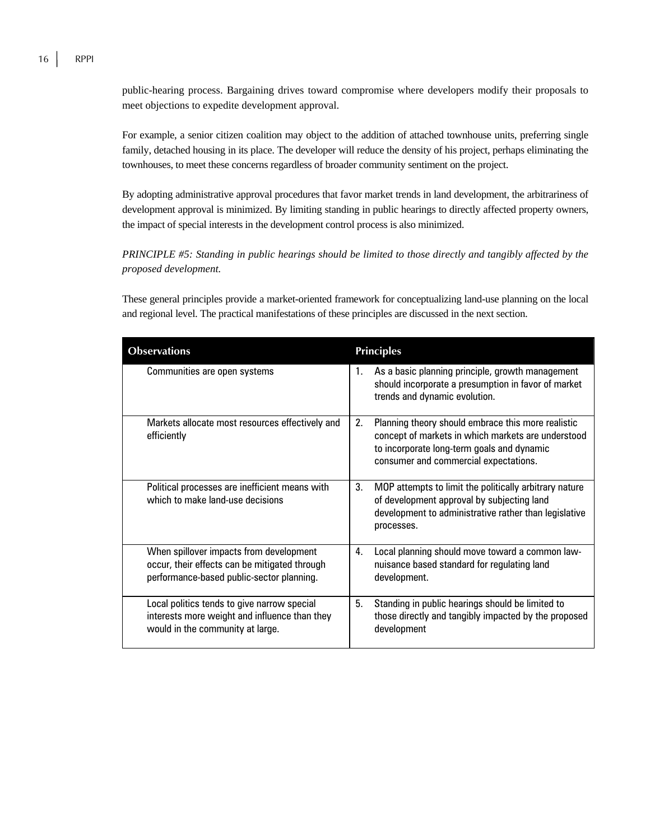public-hearing process. Bargaining drives toward compromise where developers modify their proposals to meet objections to expedite development approval.

For example, a senior citizen coalition may object to the addition of attached townhouse units, preferring single family, detached housing in its place. The developer will reduce the density of his project, perhaps eliminating the townhouses, to meet these concerns regardless of broader community sentiment on the project.

By adopting administrative approval procedures that favor market trends in land development, the arbitrariness of development approval is minimized. By limiting standing in public hearings to directly affected property owners, the impact of special interests in the development control process is also minimized.

*PRINCIPLE #5: Standing in public hearings should be limited to those directly and tangibly affected by the proposed development.*

These general principles provide a market-oriented framework for conceptualizing land-use planning on the local and regional level. The practical manifestations of these principles are discussed in the next section.

| <b>Observations</b>                                                                                                                   | <b>Principles</b>                                                                                                                                                                                     |
|---------------------------------------------------------------------------------------------------------------------------------------|-------------------------------------------------------------------------------------------------------------------------------------------------------------------------------------------------------|
| Communities are open systems                                                                                                          | As a basic planning principle, growth management<br>1.<br>should incorporate a presumption in favor of market<br>trends and dynamic evolution.                                                        |
| Markets allocate most resources effectively and<br>efficiently                                                                        | Planning theory should embrace this more realistic<br>2.<br>concept of markets in which markets are understood<br>to incorporate long-term goals and dynamic<br>consumer and commercial expectations. |
| Political processes are inefficient means with<br>which to make land-use decisions                                                    | 3.<br>MOP attempts to limit the politically arbitrary nature<br>of development approval by subjecting land<br>development to administrative rather than legislative<br>processes.                     |
| When spillover impacts from development<br>occur, their effects can be mitigated through<br>performance-based public-sector planning. | 4.<br>Local planning should move toward a common law-<br>nuisance based standard for regulating land<br>development.                                                                                  |
| Local politics tends to give narrow special<br>interests more weight and influence than they<br>would in the community at large.      | 5.<br>Standing in public hearings should be limited to<br>those directly and tangibly impacted by the proposed<br>development                                                                         |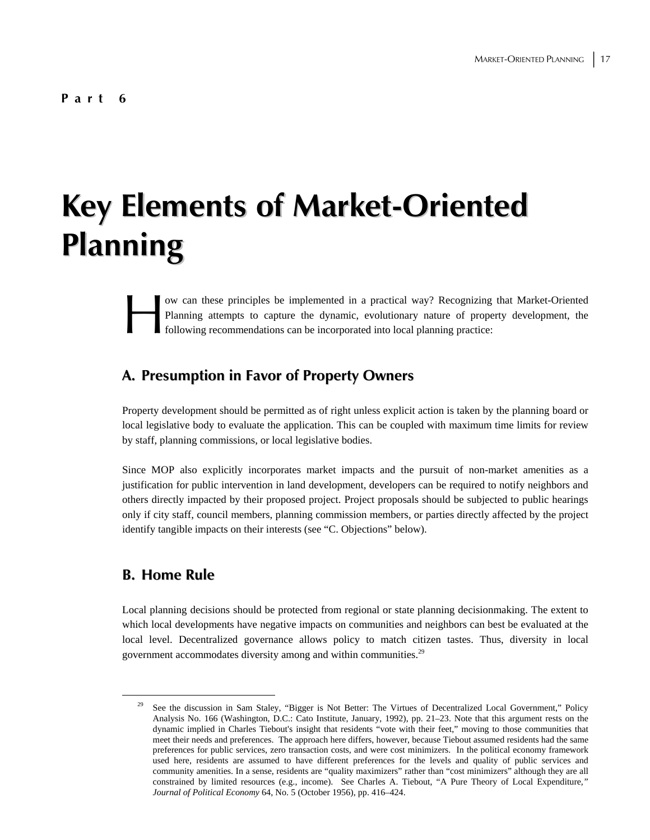# **Key Elements of Market-Oriented Planning**

ow can these principles be implemented in a practical way? Recognizing that Market-Oriented Planning attempts to capture the dynamic, evolutionary nature of property development, the following recommendations can be incorporated into local planning practice: Plan Plan Company Plan Plan Company Plan Company Plan Company Plan Company Plan Company Plan Company Plan Company Plan Company Plan Company Plan Company Plan Company Plan Company Plan Company Plan Company Plan Company Plan

#### **A. Presumption in Favor of Property Owners**

Property development should be permitted as of right unless explicit action is taken by the planning board or local legislative body to evaluate the application. This can be coupled with maximum time limits for review by staff, planning commissions, or local legislative bodies.

Since MOP also explicitly incorporates market impacts and the pursuit of non-market amenities as a justification for public intervention in land development, developers can be required to notify neighbors and others directly impacted by their proposed project. Project proposals should be subjected to public hearings only if city staff, council members, planning commission members, or parties directly affected by the project identify tangible impacts on their interests (see "C. Objections" below).

#### **B. Home Rule**

Local planning decisions should be protected from regional or state planning decisionmaking. The extent to which local developments have negative impacts on communities and neighbors can best be evaluated at the local level. Decentralized governance allows policy to match citizen tastes. Thus, diversity in local government accommodates diversity among and within communities.<sup>29</sup>

 <sup>29</sup> See the discussion in Sam Staley, "Bigger is Not Better: The Virtues of Decentralized Local Government," Policy Analysis No. 166 (Washington, D.C.: Cato Institute, January, 1992), pp. 21–23. Note that this argument rests on the dynamic implied in Charles Tiebout's insight that residents "vote with their feet," moving to those communities that meet their needs and preferences. The approach here differs, however, because Tiebout assumed residents had the same preferences for public services, zero transaction costs, and were cost minimizers. In the political economy framework used here, residents are assumed to have different preferences for the levels and quality of public services and community amenities. In a sense, residents are "quality maximizers" rather than "cost minimizers" although they are all constrained by limited resources (e.g., income). See Charles A. Tiebout, "A Pure Theory of Local Expenditure*," Journal of Political Economy* 64, No. 5 (October 1956), pp. 416–424.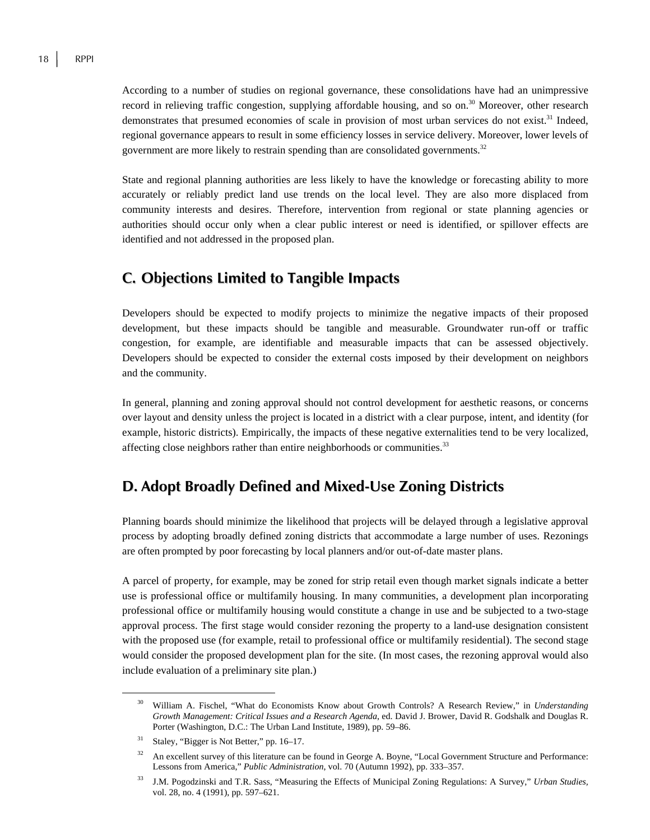According to a number of studies on regional governance, these consolidations have had an unimpressive record in relieving traffic congestion, supplying affordable housing, and so on.30 Moreover, other research demonstrates that presumed economies of scale in provision of most urban services do not exist.<sup>31</sup> Indeed, regional governance appears to result in some efficiency losses in service delivery. Moreover, lower levels of government are more likely to restrain spending than are consolidated governments.<sup>32</sup>

State and regional planning authorities are less likely to have the knowledge or forecasting ability to more accurately or reliably predict land use trends on the local level. They are also more displaced from community interests and desires. Therefore, intervention from regional or state planning agencies or authorities should occur only when a clear public interest or need is identified, or spillover effects are identified and not addressed in the proposed plan.

#### **C. Objections Limited to Tangible Impacts**

Developers should be expected to modify projects to minimize the negative impacts of their proposed development, but these impacts should be tangible and measurable. Groundwater run-off or traffic congestion, for example, are identifiable and measurable impacts that can be assessed objectively. Developers should be expected to consider the external costs imposed by their development on neighbors and the community.

In general, planning and zoning approval should not control development for aesthetic reasons, or concerns over layout and density unless the project is located in a district with a clear purpose, intent, and identity (for example, historic districts). Empirically, the impacts of these negative externalities tend to be very localized, affecting close neighbors rather than entire neighborhoods or communities.<sup>33</sup>

#### **D. Adopt Broadly Defined and Mixed-Use Zoning Districts**

Planning boards should minimize the likelihood that projects will be delayed through a legislative approval process by adopting broadly defined zoning districts that accommodate a large number of uses. Rezonings are often prompted by poor forecasting by local planners and/or out-of-date master plans.

A parcel of property, for example, may be zoned for strip retail even though market signals indicate a better use is professional office or multifamily housing. In many communities, a development plan incorporating professional office or multifamily housing would constitute a change in use and be subjected to a two-stage approval process. The first stage would consider rezoning the property to a land-use designation consistent with the proposed use (for example, retail to professional office or multifamily residential). The second stage would consider the proposed development plan for the site. (In most cases, the rezoning approval would also include evaluation of a preliminary site plan.)

 <sup>30</sup> William A. Fischel, "What do Economists Know about Growth Controls? A Research Review," in *Understanding Growth Management: Critical Issues and a Research Agenda*, ed. David J. Brower, David R. Godshalk and Douglas R. Porter (Washington, D.C.: The Urban Land Institute, 1989), pp. 59–86.

<sup>&</sup>lt;sup>31</sup> Staley, "Bigger is Not Better," pp. 16–17.

<sup>&</sup>lt;sup>32</sup> An excellent survey of this literature can be found in George A. Boyne, "Local Government Structure and Performance: Lessons from America," *Public Administration*, vol. 70 (Autumn 1992), pp. 333–357.

<sup>33</sup> J.M. Pogodzinski and T.R. Sass, "Measuring the Effects of Municipal Zoning Regulations: A Survey," *Urban Studies,* vol. 28, no. 4 (1991), pp. 597–621.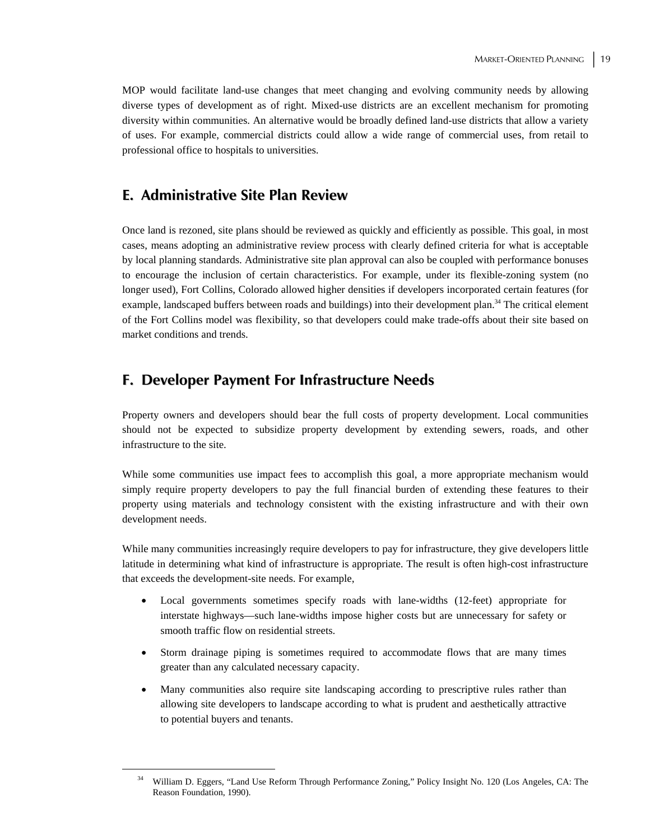MOP would facilitate land-use changes that meet changing and evolving community needs by allowing diverse types of development as of right. Mixed-use districts are an excellent mechanism for promoting diversity within communities. An alternative would be broadly defined land-use districts that allow a variety of uses. For example, commercial districts could allow a wide range of commercial uses, from retail to professional office to hospitals to universities.

#### **E. Administrative Site Plan Review**

Once land is rezoned, site plans should be reviewed as quickly and efficiently as possible. This goal, in most cases, means adopting an administrative review process with clearly defined criteria for what is acceptable by local planning standards. Administrative site plan approval can also be coupled with performance bonuses to encourage the inclusion of certain characteristics. For example, under its flexible-zoning system (no longer used), Fort Collins, Colorado allowed higher densities if developers incorporated certain features (for example, landscaped buffers between roads and buildings) into their development plan.<sup>34</sup> The critical element of the Fort Collins model was flexibility, so that developers could make trade-offs about their site based on market conditions and trends.

#### **F. Developer Payment For Infrastructure Needs**

Property owners and developers should bear the full costs of property development. Local communities should not be expected to subsidize property development by extending sewers, roads, and other infrastructure to the site.

While some communities use impact fees to accomplish this goal, a more appropriate mechanism would simply require property developers to pay the full financial burden of extending these features to their property using materials and technology consistent with the existing infrastructure and with their own development needs.

While many communities increasingly require developers to pay for infrastructure, they give developers little latitude in determining what kind of infrastructure is appropriate. The result is often high-cost infrastructure that exceeds the development-site needs. For example,

- Local governments sometimes specify roads with lane-widths (12-feet) appropriate for interstate highways—such lane-widths impose higher costs but are unnecessary for safety or smooth traffic flow on residential streets.
- Storm drainage piping is sometimes required to accommodate flows that are many times greater than any calculated necessary capacity.
- Many communities also require site landscaping according to prescriptive rules rather than allowing site developers to landscape according to what is prudent and aesthetically attractive to potential buyers and tenants.

<sup>&</sup>lt;sup>34</sup> William D. Eggers, "Land Use Reform Through Performance Zoning," Policy Insight No. 120 (Los Angeles, CA: The Reason Foundation, 1990).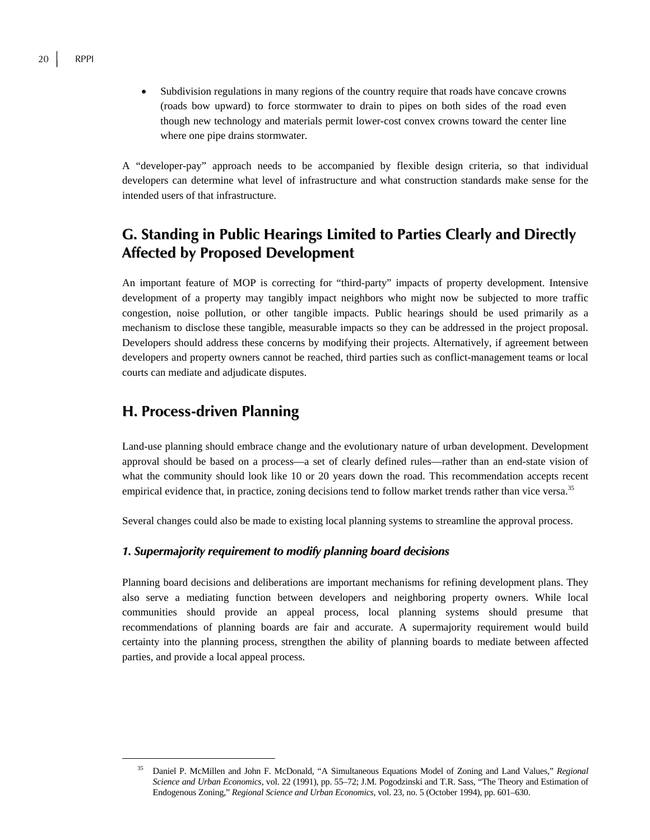• Subdivision regulations in many regions of the country require that roads have concave crowns (roads bow upward) to force stormwater to drain to pipes on both sides of the road even though new technology and materials permit lower-cost convex crowns toward the center line where one pipe drains stormwater.

A "developer-pay" approach needs to be accompanied by flexible design criteria, so that individual developers can determine what level of infrastructure and what construction standards make sense for the intended users of that infrastructure.

### **G. Standing in Public Hearings Limited to Parties Clearly and Directly Affected by Proposed Development**

An important feature of MOP is correcting for "third-party" impacts of property development. Intensive development of a property may tangibly impact neighbors who might now be subjected to more traffic congestion, noise pollution, or other tangible impacts. Public hearings should be used primarily as a mechanism to disclose these tangible, measurable impacts so they can be addressed in the project proposal. Developers should address these concerns by modifying their projects. Alternatively, if agreement between developers and property owners cannot be reached, third parties such as conflict-management teams or local courts can mediate and adjudicate disputes.

#### **H. Process-driven Planning**

Land-use planning should embrace change and the evolutionary nature of urban development. Development approval should be based on a process—a set of clearly defined rules—rather than an end-state vision of what the community should look like 10 or 20 years down the road. This recommendation accepts recent empirical evidence that, in practice, zoning decisions tend to follow market trends rather than vice versa.<sup>35</sup>

Several changes could also be made to existing local planning systems to streamline the approval process.

#### *1. Supermajority requirement to modify planning board decisions*

Planning board decisions and deliberations are important mechanisms for refining development plans. They also serve a mediating function between developers and neighboring property owners. While local communities should provide an appeal process, local planning systems should presume that recommendations of planning boards are fair and accurate. A supermajority requirement would build certainty into the planning process, strengthen the ability of planning boards to mediate between affected parties, and provide a local appeal process.

 <sup>35</sup> Daniel P. McMillen and John F. McDonald, "A Simultaneous Equations Model of Zoning and Land Values," *Regional Science and Urban Economics,* vol. 22 (1991), pp. 55–72; J.M. Pogodzinski and T.R. Sass, "The Theory and Estimation of Endogenous Zoning," *Regional Science and Urban Economics*, vol. 23, no. 5 (October 1994), pp. 601–630.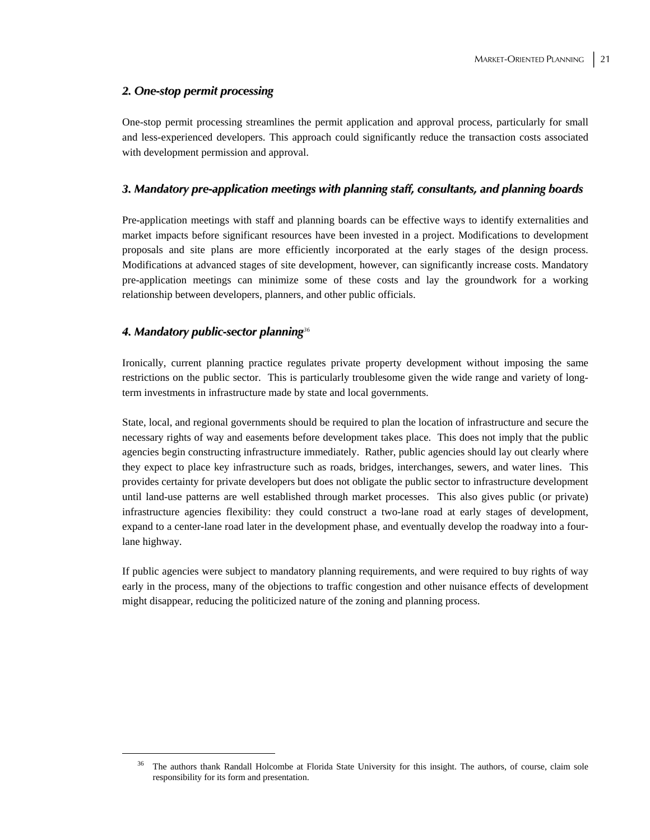#### *2. One-stop permit processing*

One-stop permit processing streamlines the permit application and approval process, particularly for small and less-experienced developers. This approach could significantly reduce the transaction costs associated with development permission and approval.

#### *3. Mandatory pre-application meetings with planning staff, consultants, and planning boards*

Pre-application meetings with staff and planning boards can be effective ways to identify externalities and market impacts before significant resources have been invested in a project. Modifications to development proposals and site plans are more efficiently incorporated at the early stages of the design process. Modifications at advanced stages of site development, however, can significantly increase costs. Mandatory pre-application meetings can minimize some of these costs and lay the groundwork for a working relationship between developers, planners, and other public officials.

#### *4. Mandatory public-sector planning<sup>36</sup>*

Ironically, current planning practice regulates private property development without imposing the same restrictions on the public sector. This is particularly troublesome given the wide range and variety of longterm investments in infrastructure made by state and local governments.

State, local, and regional governments should be required to plan the location of infrastructure and secure the necessary rights of way and easements before development takes place. This does not imply that the public agencies begin constructing infrastructure immediately. Rather, public agencies should lay out clearly where they expect to place key infrastructure such as roads, bridges, interchanges, sewers, and water lines. This provides certainty for private developers but does not obligate the public sector to infrastructure development until land-use patterns are well established through market processes. This also gives public (or private) infrastructure agencies flexibility: they could construct a two-lane road at early stages of development, expand to a center-lane road later in the development phase, and eventually develop the roadway into a fourlane highway.

If public agencies were subject to mandatory planning requirements, and were required to buy rights of way early in the process, many of the objections to traffic congestion and other nuisance effects of development might disappear, reducing the politicized nature of the zoning and planning process.

<sup>&</sup>lt;sup>36</sup> The authors thank Randall Holcombe at Florida State University for this insight. The authors, of course, claim sole responsibility for its form and presentation.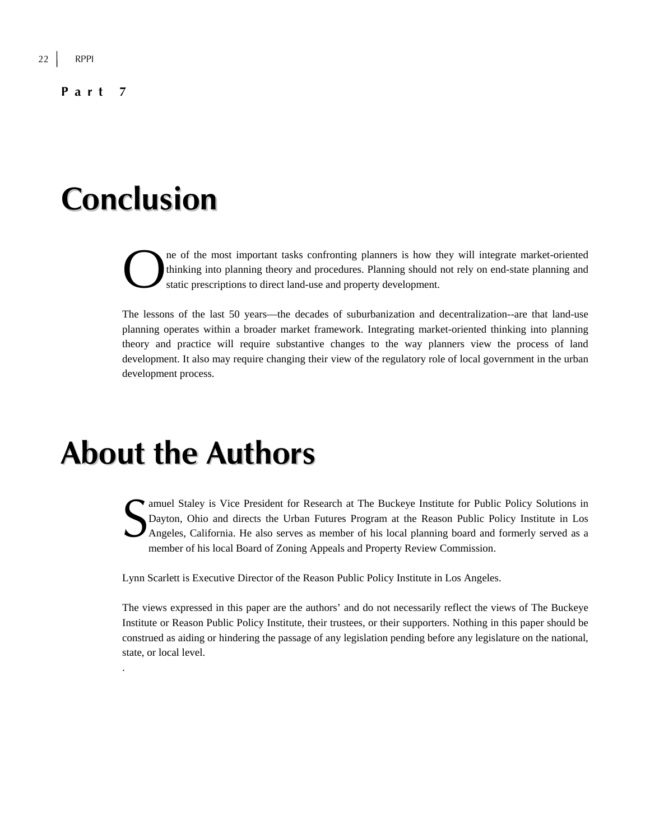**Part 7** 

# **Conclusion**

ne of the most important tasks confronting planners is how they will integrate market-oriented thinking into planning theory and procedures. Planning should not rely on end-state planning and static prescriptions to direct land-use and property development.  $\sum_{\text{stat}}^{\text{ne}}$ 

The lessons of the last 50 years—the decades of suburbanization and decentralization--are that land-use planning operates within a broader market framework. Integrating market-oriented thinking into planning theory and practice will require substantive changes to the way planners view the process of land development. It also may require changing their view of the regulatory role of local government in the urban development process.

## **About the Authors**

.

amuel Staley is Vice President for Research at The Buckeye Institute for Public Policy Solutions in Dayton, Ohio and directs the Urban Futures Program at the Reason Public Policy Institute in Los Angeles, California. He also serves as member of his local planning board and formerly served as a member of his local Board of Zoning Appeals and Property Review Commission.  $S_{\tiny \textrm{Ang}}^{\tiny \textrm{am}}$ 

Lynn Scarlett is Executive Director of the Reason Public Policy Institute in Los Angeles.

The views expressed in this paper are the authors' and do not necessarily reflect the views of The Buckeye Institute or Reason Public Policy Institute, their trustees, or their supporters. Nothing in this paper should be construed as aiding or hindering the passage of any legislation pending before any legislature on the national, state, or local level.